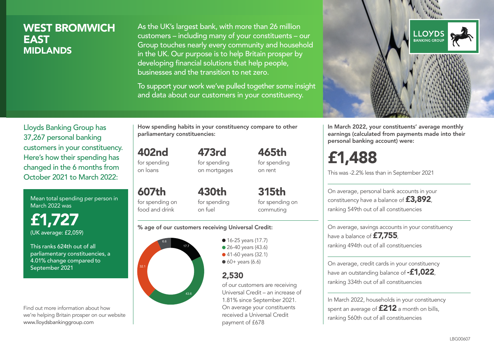# WEST BROMWICH EAST **MIDLANDS**

As the UK's largest bank, with more than 26 million customers – including many of your constituents – our Group touches nearly every community and household in the UK. Our purpose is to help Britain prosper by developing financial solutions that help people, businesses and the transition to net zero.

To support your work we've pulled together some insight and data about our customers in your constituency.



Mean total spending per person in March 2022 was

£1,727 (UK average: £2,059)

This ranks 624th out of all parliamentary constituencies, a 4.01% change compared to September 2021

Find out more information about how we're helping Britain prosper on our website www.lloydsbankinggroup.com

How spending habits in your constituency compare to other parliamentary constituencies:

473rd

402nd for spending on loans

for spending on mortgages

607th for spending on food and drink 430th for spending on fuel

315th for spending on commuting

465th for spending on rent

#### % age of our customers receiving Universal Credit:



● 16-25 years (17.7) • 26-40 years (43.6) ● 41-60 years (32.1)

 $60+$  years (6.6)

# 2,530

of our customers are receiving Universal Credit – an increase of 1.81% since September 2021. On average your constituents received a Universal Credit payment of £678



In March 2022, your constituents' average monthly earnings (calculated from payments made into their personal banking account) were:

# £1,488

This was -2.2% less than in September 2021

On average, personal bank accounts in your constituency have a balance of £3,892, ranking 549th out of all constituencies

On average, savings accounts in your constituency have a balance of £7,755. ranking 494th out of all constituencies

On average, credit cards in your constituency have an outstanding balance of **-£1,022**, ranking 334th out of all constituencies

In March 2022, households in your constituency spent an average of **£212** a month on bills, ranking 560th out of all constituencies